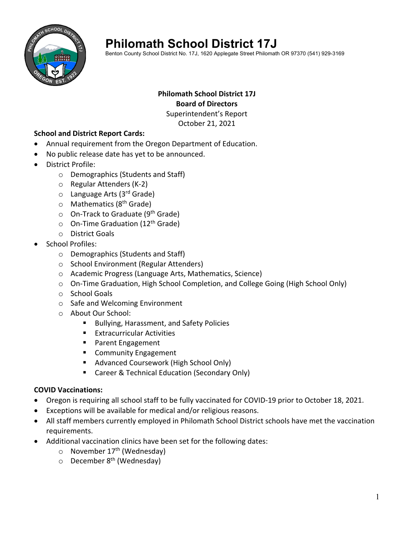

# **Philomath School District 17J**

Benton County School District No. 17J, 1620 Applegate Street Philomath OR 97370 (541) 929-3169

## **Philomath School District 17J Board of Directors**

Superintendent's Report October 21, 2021

### **School and District Report Cards:**

- Annual requirement from the Oregon Department of Education.
- No public release date has yet to be announced.
- District Profile:
	- o Demographics (Students and Staff)
	- o Regular Attenders (K‐2)
	- o Language Arts (3<sup>rd</sup> Grade)
	- $\circ$  Mathematics (8<sup>th</sup> Grade)
	- On-Track to Graduate (9<sup>th</sup> Grade)
	- $\circ$  On-Time Graduation (12<sup>th</sup> Grade)
	- o District Goals
- School Profiles:
	- o Demographics (Students and Staff)
	- o School Environment (Regular Attenders)
	- o Academic Progress (Language Arts, Mathematics, Science)
	- o On‐Time Graduation, High School Completion, and College Going (High School Only)
	- o School Goals
	- o Safe and Welcoming Environment
	- o About Our School:
		- **Bullying, Harassment, and Safety Policies**
		- **Extracurricular Activities**
		- **Parent Engagement**
		- **EXECOMMUNITY Engagement**
		- Advanced Coursework (High School Only)
		- Career & Technical Education (Secondary Only)

#### **COVID Vaccinations:**

- Oregon is requiring all school staff to be fully vaccinated for COVID-19 prior to October 18, 2021.
- Exceptions will be available for medical and/or religious reasons.
- All staff members currently employed in Philomath School District schools have met the vaccination requirements.
- Additional vaccination clinics have been set for the following dates:
	- $\circ$  November 17<sup>th</sup> (Wednesday)
	- $\circ$  December 8<sup>th</sup> (Wednesday)